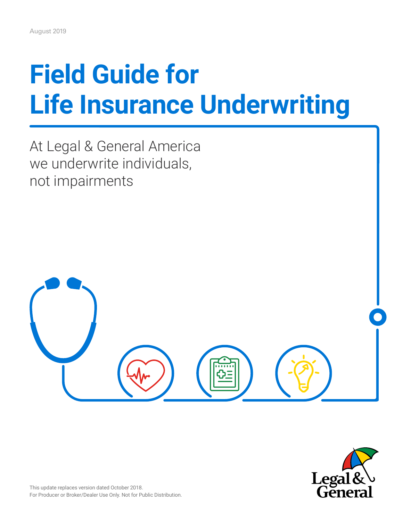# **Field Guide for Life Insurance Underwriting**

At Legal & General America we underwrite individuals, not impairments



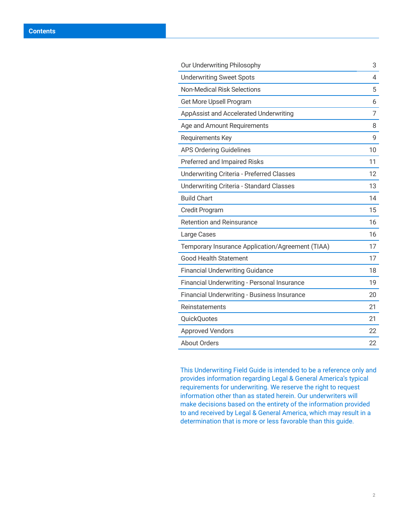| Our Underwriting Philosophy                      | 3  |
|--------------------------------------------------|----|
| <b>Underwriting Sweet Spots</b>                  | 4  |
| <b>Non-Medical Risk Selections</b>               | 5  |
| Get More Upsell Program                          | 6  |
| AppAssist and Accelerated Underwriting           | 7  |
| Age and Amount Requirements                      | 8  |
| Requirements Key                                 | 9  |
| <b>APS Ordering Guidelines</b>                   | 10 |
| Preferred and Impaired Risks                     | 11 |
| <b>Underwriting Criteria - Preferred Classes</b> | 12 |
| <b>Underwriting Criteria - Standard Classes</b>  | 13 |
| <b>Build Chart</b>                               | 14 |
| <b>Credit Program</b>                            | 15 |
| <b>Retention and Reinsurance</b>                 | 16 |
| Large Cases                                      | 16 |
| Temporary Insurance Application/Agreement (TIAA) | 17 |
| <b>Good Health Statement</b>                     | 17 |
| <b>Financial Underwriting Guidance</b>           | 18 |
| Financial Underwriting - Personal Insurance      | 19 |
| Financial Underwriting - Business Insurance      | 20 |
| Reinstatements                                   | 21 |
| <b>QuickQuotes</b>                               | 21 |
| <b>Approved Vendors</b>                          | 22 |
| <b>About Orders</b>                              | 22 |

This Underwriting Field Guide is intended to be a reference only and provides information regarding Legal & General America's typical requirements for underwriting. We reserve the right to request information other than as stated herein. Our underwriters will make decisions based on the entirety of the information provided to and received by Legal & General America, which may result in a determination that is more or less favorable than this guide.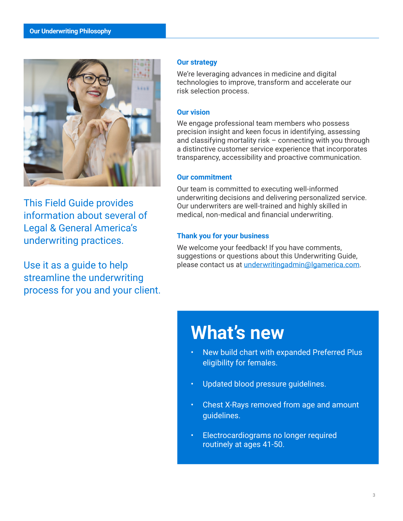<span id="page-2-0"></span>

This Field Guide provides information about several of Legal & General America's underwriting practices.

Use it as a guide to help streamline the underwriting process for you and your client.

#### **Our strategy**

We're leveraging advances in medicine and digital technologies to improve, transform and accelerate our risk selection process.

#### **Our vision**

We engage professional team members who possess precision insight and keen focus in identifying, assessing and classifying mortality risk – connecting with you through a distinctive customer service experience that incorporates transparency, accessibility and proactive communication.

## **Our commitment**

Our team is committed to executing well-informed underwriting decisions and delivering personalized service. Our underwriters are well-trained and highly skilled in medical, non-medical and financial underwriting.

## **Thank you for your business**

We welcome your feedback! If you have comments, suggestions or questions about this Underwriting Guide, please contact us at [underwritingadmin@lgamerica.com](mailto:underwritingadmin%40lgamerica.com?subject=LGA%20Underwriting%20Guidelines%20Question).

## **What's new**

- New build chart with expanded Preferred Plus eligibility for females.
- Updated blood pressure guidelines.
- Chest X-Rays removed from age and amount guidelines.
- Electrocardiograms no longer required routinely at ages 41-50.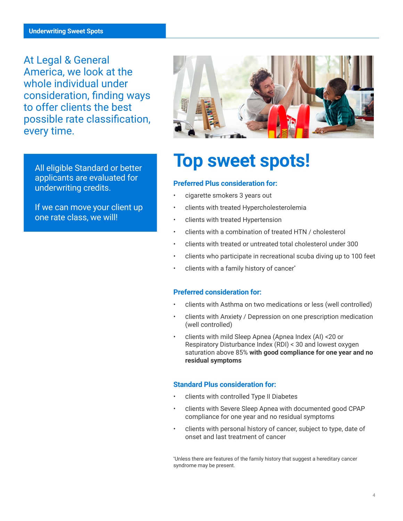<span id="page-3-0"></span>At Legal & General America, we look at the whole individual under consideration, finding ways to offer clients the best possible rate classification, every time.

All eligible Standard or better applicants are evaluated for underwriting credits.

If we can move your client up one rate class, we will!



## **Top sweet spots!**

## **Preferred Plus consideration for:**

- cigarette smokers 3 years out
- clients with treated Hypercholesterolemia
- Clients with treated Hypertension
- Clients with a combination of treated HTN / cholesterol
- Clients with treated or untreated total cholesterol under 300
- Clients who participate in recreational scuba diving up to 100 feet
- Clients with a family history of cancer\*

#### **Preferred consideration for:**

- Clients with Asthma on two medications or less (well controlled)
- Clients with Anxiety / Depression on one prescription medication (well controlled)
- Clients with mild Sleep Apnea (Apnea Index (AI) <20 or Respiratory Disturbance Index (RDI) < 30 and lowest oxygen saturation above 85% **with good compliance for one year and no residual symptoms**

#### **Standard Plus consideration for:**

- Clients with controlled Type II Diabetes
- Clients with Severe Sleep Apnea with documented good CPAP compliance for one year and no residual symptoms
- Clients with personal history of cancer, subject to type, date of onset and last treatment of cancer

\* Unless there are features of the family history that suggest a hereditary cancer syndrome may be present.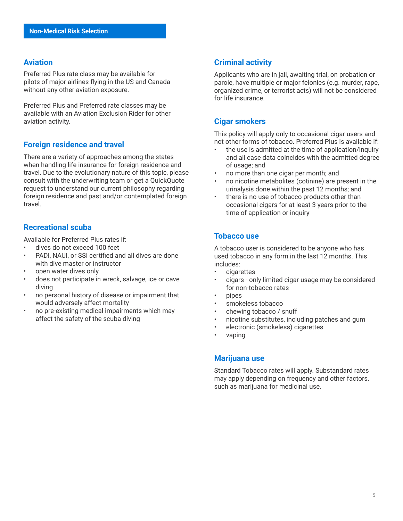#### <span id="page-4-0"></span>**Aviation**

Preferred Plus rate class may be available for pilots of major airlines flying in the US and Canada without any other aviation exposure.

Preferred Plus and Preferred rate classes may be available with an Aviation Exclusion Rider for other aviation activity.

## **Foreign residence and travel**

There are a variety of approaches among the states when handling life insurance for foreign residence and travel. Due to the evolutionary nature of this topic, please consult with the underwriting team or get a QuickQuote request to understand our current philosophy regarding foreign residence and past and/or contemplated foreign travel.

## **Recreational scuba**

Available for Preferred Plus rates if:

- dives do not exceed 100 feet
- PADI, NAUI, or SSI certified and all dives are done with dive master or instructor
- open water dives only
- does not participate in wreck, salvage, ice or cave diving
- no personal history of disease or impairment that would adversely affect mortality
- no pre-existing medical impairments which may affect the safety of the scuba diving

## **Criminal activity**

Applicants who are in jail, awaiting trial, on probation or parole, have multiple or major felonies (e.g. murder, rape, organized crime, or terrorist acts) will not be considered for life insurance.

## **Cigar smokers**

This policy will apply only to occasional cigar users and not other forms of tobacco. Preferred Plus is available if:

- the use is admitted at the time of application/inquiry and all case data coincides with the admitted degree of usage; and
- no more than one cigar per month; and
- no nicotine metabolites (cotinine) are present in the urinalysis done within the past 12 months; and
- there is no use of tobacco products other than occasional cigars for at least 3 years prior to the time of application or inquiry

## **Tobacco use**

A tobacco user is considered to be anyone who has used tobacco in any form in the last 12 months. This includes:

- cigarettes
- cigars only limited cigar usage may be considered for non-tobacco rates
- pipes
- smokeless tobacco
- chewing tobacco / snuff
- nicotine substitutes, including patches and gum
- electronic (smokeless) cigarettes
- vaping

#### **Marijuana use**

Standard Tobacco rates will apply. Substandard rates may apply depending on frequency and other factors. such as marijuana for medicinal use.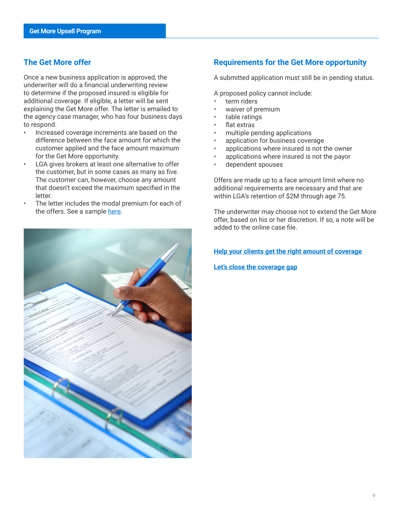## <span id="page-5-0"></span>**The Get More offer**

Once a new business application is approved, the underwriter will do a financial underwriting review to determine if the proposed insured is eligible for additional coverage. If eligible, a letter will be sent explaining the Get More offer. The letter is emailed to the agency case manager, who has four business days to respond.

- Increased coverage increments are based on the difference between the face amount for which the customer applied and the face amount maximum for the Get More opportunity.
- LGA gives brokers at least one alternative to offer the customer, but in some cases as many as five. The customer can, however, choose any amount that doesn't exceed the maximum specified in the letter.
- The letter includes the modal premium for each of the offers. See a sample [here.](https://www.lgamerica.com/forms/banforms/Marketing%20&%20Sales%20Material/sampleGETMOREbannerletter.pdf)



## **Requirements for the Get More opportunity**

A submitted application must still be in pending status.

A proposed policy cannot include:

- term riders
- waiver of premium
- table ratings
- flat extras
- multiple pending applications
- application for business coverage
- applications where insured is not the owner
- applications where insured is not the payor
- dependent spouses

Offers are made up to a face amount limit where no additional requirements are necessary and that are within LGA's retention of \$2M through age 75.

The underwriter may choose not to extend the Get More offer, based on his or her discretion. If so, a note will be added to the online case file.

#### **[Help your clients get the right amount of coverage](https://www.lgamerica.com/forms/banforms/Marketing%20&%20Sales%20Material/LAA2078.pdf#zoom=80)**

#### **[Let's close the coverage gap](https://www.lgamerica.com/forms/banforms/Marketing%20&%20Sales%20Material/LAA2115.pdf#zoom=80)**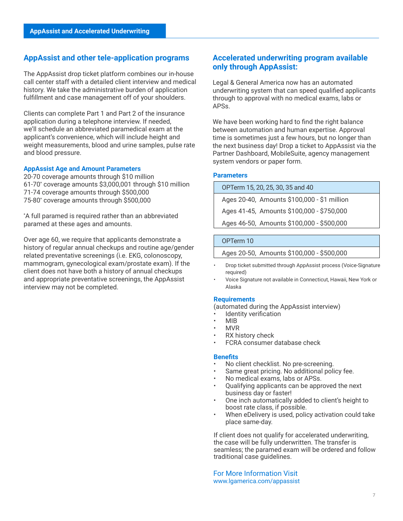#### <span id="page-6-0"></span>**AppAssist and other tele-application programs**

The AppAssist drop ticket platform combines our in-house call center staff with a detailed client interview and medical history. We take the administrative burden of application fulfillment and case management off of your shoulders.

Clients can complete Part 1 and Part 2 of the insurance application during a telephone interview. If needed, we'll schedule an abbreviated paramedical exam at the applicant's convenience, which will include height and weight measurements, blood and urine samples, pulse rate and blood pressure.

#### **AppAssist Age and Amount Parameters**

20-70 coverage amounts through \$10 million 61-70\* coverage amounts \$3,000,001 through \$10 million 71-74 coverage amounts through \$500,000 75-80\* coverage amounts through \$500,000

\* A full paramed is required rather than an abbreviated paramed at these ages and amounts.

Over age 60, we require that applicants demonstrate a history of regular annual checkups and routine age/gender related preventative screenings (i.e. EKG, colonoscopy, mammogram, gynecological exam/prostate exam). If the client does not have both a history of annual checkups and appropriate preventative screenings, the AppAssist interview may not be completed.

## **Accelerated underwriting program available only through AppAssist:**

Legal & General America now has an automated underwriting system that can speed qualified applicants through to approval with no medical exams, labs or APSs.

We have been working hard to find the right balance between automation and human expertise. Approval time is sometimes just a few hours, but no longer than the next business day! Drop a ticket to AppAssist via the Partner Dashboard, MobileSuite, agency management system vendors or paper form.

#### **Parameters**

OPTerm 15, 20, 25, 30, 35 and 40 Ages 20-40, Amounts \$100,000 - \$1 million Ages 41-45, Amounts \$100,000 - \$750,000 Ages 46-50, Amounts \$100,000 - \$500,000

#### OPTerm 10

Ages 20-50, Amounts \$100,000 - \$500,000

- Drop ticket submitted through AppAssist process (Voice-Signature required)
- Voice Signature not available in Connecticut, Hawaii, New York or Alaska

#### **Requirements**

(automated during the AppAssist interview)

- Identity verification
- MIB
- MVR
- RX history check
- FCRA consumer database check

#### **Benefits**

- No client checklist. No pre-screening.
- Same great pricing. No additional policy fee.
- No medical exams, labs or APSs.
- Qualifying applicants can be approved the next business day or faster!
- One inch automatically added to client's height to boost rate class, if possible.
- When eDelivery is used, policy activation could take place same-day.

If client does not qualify for accelerated underwriting, the case will be fully underwritten. The transfer is seamless; the paramed exam will be ordered and follow traditional case guidelines.

For More Information Visit [www.lgamerica.com/appassist](http://www.LGAmerica.com/AppAssist)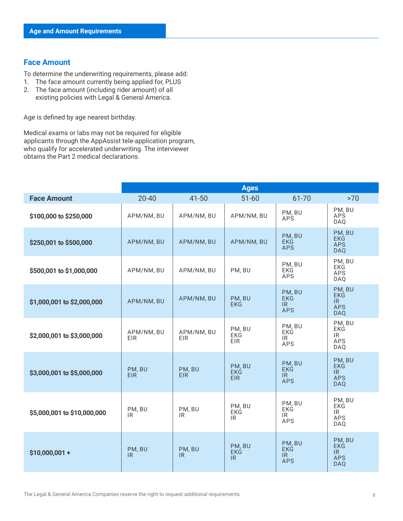## <span id="page-7-0"></span>**Face Amount**

To determine the underwriting requirements, please add:

- 1. The face amount currently being applied for, PLUS
- 2. The face amount (including rider amount) of all existing policies with Legal & General America.

Age is defined by age nearest birthday.

Medical exams or labs may not be required for eligible applicants through the AppAssist tele-application program, who qualify for accelerated underwriting. The interviewer obtains the Part 2 medical declarations.

|                             | <b>Ages</b>              |                          |                                    |                                                                         |                                                                                |
|-----------------------------|--------------------------|--------------------------|------------------------------------|-------------------------------------------------------------------------|--------------------------------------------------------------------------------|
| <b>Face Amount</b>          | $20 - 40$                | $41 - 50$                | $51 - 60$                          | 61-70                                                                   | >70                                                                            |
| \$100,000 to \$250,000      | APM/NM, BU               | APM/NM, BU               | APM/NM, BU                         | PM, BU<br><b>APS</b>                                                    | PM, BU<br><b>APS</b><br><b>DAQ</b>                                             |
| \$250,001 to \$500,000      | APM/NM, BU               | APM/NM, BU               | APM/NM, BU                         | PM, BU<br><b>EKG</b><br><b>APS</b>                                      | PM, BU<br><b>EKG</b><br><b>APS</b><br><b>DAQ</b>                               |
| \$500,001 to \$1,000,000    | APM/NM, BU               | APM/NM, BU               | PM, BU                             | PM, BU<br><b>EKG</b><br>APS                                             | PM, BU<br>EKG<br>APS<br>DAQ                                                    |
| \$1,000,001 to \$2,000,000  | APM/NM, BU               | APM/NM, BU               | PM. BU<br><b>EKG</b>               | PM, BU<br><b>EKG</b><br>IR<br><b>APS</b>                                | PM, BU<br><b>EKG</b><br>IR<br><b>APS</b><br><b>DAQ</b>                         |
| \$2,000,001 to \$3,000,000  | APM/NM, BU<br><b>EIR</b> | APM/NM, BU<br><b>EIR</b> | PM, BU<br>EKG<br><b>EIR</b>        | PM, BU<br>EKG<br>IR<br><b>APS</b>                                       | PM, BU<br>EKG<br>$\ensuremath{\mathsf{IR}}\xspace$<br><b>APS</b><br><b>DAQ</b> |
| \$3,000,001 to \$5,000,000  | PM, BU<br><b>EIR</b>     | PM, BU<br><b>EIR</b>     | PM, BU<br><b>EKG</b><br><b>EIR</b> | PM, BU<br><b>EKG</b><br>IR<br><b>APS</b>                                | PM, BU<br><b>EKG</b><br>IR.<br><b>APS</b><br><b>DAQ</b>                        |
| \$5,000,001 to \$10,000,000 | PM, BU<br>IR.            | PM, BU<br>IR             | PM, BU<br>EKG<br><b>IR</b>         | PM, BU<br><b>EKG</b><br>IR<br>APS                                       | PM, BU<br><b>EKG</b><br>IR<br><b>APS</b><br>DAQ                                |
| $$10,000,001 +$             | PM, BU<br>IR.            | PM, BU<br><b>IR</b>      | PM, BU<br>EKG<br>IR                | PM, BU<br><b>EKG</b><br>$\ensuremath{\mathsf{IR}}\xspace$<br><b>APS</b> | PM, BU<br><b>EKG</b><br>IR<br><b>APS</b><br><b>DAQ</b>                         |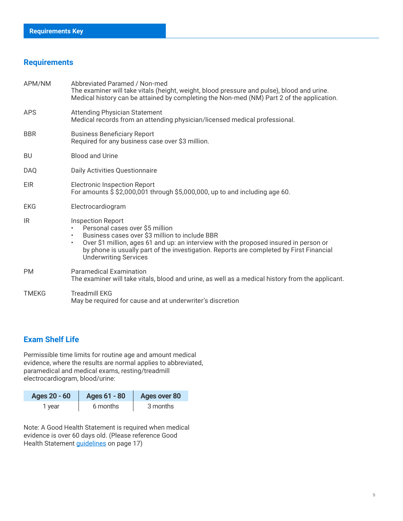## <span id="page-8-0"></span>**Requirements**

| APM/NM       | Abbreviated Paramed / Non-med<br>The examiner will take vitals (height, weight, blood pressure and pulse), blood and urine.<br>Medical history can be attained by completing the Non-med (NM) Part 2 of the application.                                                                                                                                    |  |  |
|--------------|-------------------------------------------------------------------------------------------------------------------------------------------------------------------------------------------------------------------------------------------------------------------------------------------------------------------------------------------------------------|--|--|
| <b>APS</b>   | <b>Attending Physician Statement</b><br>Medical records from an attending physician/licensed medical professional.                                                                                                                                                                                                                                          |  |  |
| <b>BBR</b>   | <b>Business Beneficiary Report</b><br>Required for any business case over \$3 million.                                                                                                                                                                                                                                                                      |  |  |
| <b>BU</b>    | <b>Blood and Urine</b>                                                                                                                                                                                                                                                                                                                                      |  |  |
| <b>DAQ</b>   | Daily Activities Questionnaire                                                                                                                                                                                                                                                                                                                              |  |  |
| EIR          | <b>Electronic Inspection Report</b><br>For amounts $\dot{\theta}$ \$2,000,001 through \$5,000,000, up to and including age 60.                                                                                                                                                                                                                              |  |  |
| <b>EKG</b>   | Electrocardiogram                                                                                                                                                                                                                                                                                                                                           |  |  |
| IR.          | <b>Inspection Report</b><br>Personal cases over \$5 million<br>Business cases over \$3 million to include BBR<br>$\bullet$<br>Over \$1 million, ages 61 and up: an interview with the proposed insured in person or<br>$\bullet$<br>by phone is usually part of the investigation. Reports are completed by First Financial<br><b>Underwriting Services</b> |  |  |
| <b>PM</b>    | <b>Paramedical Examination</b><br>The examiner will take vitals, blood and urine, as well as a medical history from the applicant.                                                                                                                                                                                                                          |  |  |
| <b>TMEKG</b> | <b>Treadmill EKG</b><br>May be required for cause and at underwriter's discretion                                                                                                                                                                                                                                                                           |  |  |

## **Exam Shelf Life**

Permissible time limits for routine age and amount medical evidence, where the results are normal applies to abbreviated, paramedical and medical exams, resting/treadmill electrocardiogram, blood/urine:

| Ages 20 - 60 | Ages 61 - 80 | <b>Ages over 80</b> |
|--------------|--------------|---------------------|
| 1 year       | 6 months     | 3 months            |

Note: A Good Health Statement is required when medical evidence is over 60 days old. (Please reference Good Health Statement [guidelines](#page-16-0) on page 17)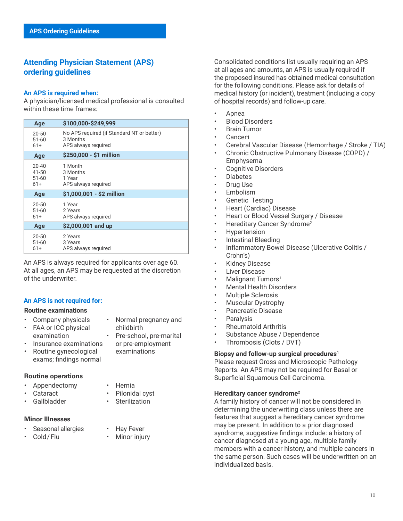## <span id="page-9-0"></span>**Attending Physician Statement (APS) ordering guidelines**

#### **An APS is required when:**

A physician/licensed medical professional is consulted within these time frames:

| Age                                                                                                            | \$100,000-\$249,999                                  |  |
|----------------------------------------------------------------------------------------------------------------|------------------------------------------------------|--|
| No APS required (if Standard NT or better)<br>$20 - 50$<br>3 Months<br>$51 - 60$<br>APS always required<br>61+ |                                                      |  |
| Age                                                                                                            | \$250,000 - \$1 million                              |  |
| $20 - 40$<br>41-50<br>$51 - 60$<br>61+                                                                         | 1 Month<br>3 Months<br>1 Year<br>APS always required |  |
| Age                                                                                                            | \$1,000,001 - \$2 million                            |  |
|                                                                                                                |                                                      |  |
| $20 - 50$<br>$51 - 60$<br>61+                                                                                  | 1 Year<br>2 Years<br>APS always required             |  |
| Age                                                                                                            | \$2,000,001 and up                                   |  |

An APS is always required for applicants over age 60. At all ages, an APS may be requested at the discretion of the underwriter.

#### **An APS is not required for:**

#### **Routine examinations**

- Company physicals
- FAA or ICC physical examination
- Normal pregnancy and childbirth
- Insurance examinations
- Routine gynecological exams; findings normal

#### **Routine operations**

- Appendectomy
- **Cataract**
- Gallbladder
- 
- Hernia
- Pilonidal cyst **Sterilization**
- 

#### **Minor Illnesses**

- Seasonal allergies
- Cold/ Flu
- Hay Fever • Minor injury

Consolidated conditions list usually requiring an APS at all ages and amounts, an APS is usually required if the proposed insured has obtained medical consultation for the following conditions. Please ask for details of medical history (or incident), treatment (including a copy of hospital records) and follow-up care.

- Apnea
- Blood Disorders
- Brain Tumor
- Cancer1
- Cerebral Vascular Disease (Hemorrhage / Stroke / TIA)
- Chronic Obstructive Pulmonary Disease (COPD) / Emphysema
- Cognitive Disorders
- **Diabetes**
- Drug Use
- **Embolism**
- Genetic Testing
- Heart (Cardiac) Disease
- Heart or Blood Vessel Surgery / Disease
- Hereditary Cancer Syndrome2
- **Hypertension**
- Intestinal Bleeding
- Inflammatory Bowel Disease (Ulcerative Colitis / Crohn's)
- **Kidney Disease**
- **Liver Disease**
- Malignant Tumors<sup>1</sup>
- Mental Health Disorders
- Multiple Sclerosis
- Muscular Dystrophy
- Pancreatic Disease
- **Paralysis**
- Rheumatoid Arthritis
- Substance Abuse / Dependence
- Thrombosis (Clots / DVT)

## **Biopsy and follow-up surgical procedures1**

Please request Gross and Microscopic Pathology Reports. An APS may not be required for Basal or Superficial Squamous Cell Carcinoma.

## **Hereditary cancer syndrome2**

A family history of cancer will not be considered in determining the underwriting class unless there are features that suggest a hereditary cancer syndrome may be present. In addition to a prior diagnosed syndrome, suggestive findings include: a history of cancer diagnosed at a young age, multiple family members with a cancer history, and multiple cancers in the same person. Such cases will be underwritten on an individualized basis.

- 
- Pre-school, pre-marital or pre-employment
	- examinations
	-
	-
- -
	-
	-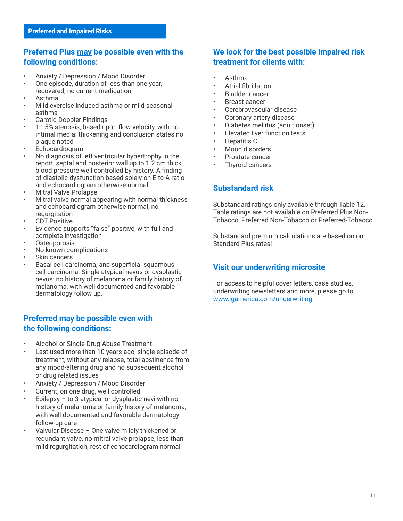## <span id="page-10-0"></span>**Preferred Plus may be possible even with the following conditions:**

- Anxiety / Depression / Mood Disorder
- One episode, duration of less than one year, recovered, no current medication
- Asthma
- Mild exercise induced asthma or mild seasonal asthma
- Carotid Doppler Findings
- 1-15% stenosis, based upon flow velocity, with no intimal medial thickening and conclusion states no plaque noted
- Echocardiogram
- No diagnosis of left ventricular hypertrophy in the report, septal and posterior wall up to 1.2 cm thick, blood pressure well controlled by history. A finding of diastolic dysfunction based solely on E to A ratio and echocardiogram otherwise normal.
- Mitral Valve Prolapse
- Mitral valve normal appearing with normal thickness and echocardiogram otherwise normal, no regurgitation
- CDT Positive
- Evidence supports "false" positive, with full and complete investigation
- **Osteoporosis**
- No known complications
- Skin cancers
- Basal cell carcinoma, and superficial squamous cell carcinoma. Single atypical nevus or dysplastic nevus: no history of melanoma or family history of melanoma, with well documented and favorable dermatology follow up.

## **Preferred may be possible even with the following conditions:**

- Alcohol or Single Drug Abuse Treatment
- Last used more than 10 years ago, single episode of treatment, without any relapse, total abstinence from any mood-altering drug and no subsequent alcohol or drug related issues
- Anxiety / Depression / Mood Disorder
- Current, on one drug, well controlled
- Epilepsy  $-$  to 3 atypical or dysplastic nevi with no history of melanoma or family history of melanoma, with well documented and favorable dermatology follow-up care
- Valvular Disease One valve mildly thickened or redundant valve, no mitral valve prolapse, less than mild regurgitation, rest of echocardiogram normal

## **We look for the best possible impaired risk treatment for clients with:**

- Asthma
- Atrial fibrillation
- **Bladder cancer**
- **Breast cancer**
- Cerebrovascular disease
- Coronary artery disease
- Diabetes mellitus (adult onset)
- Elevated liver function tests
- Hepatitis C
- Mood disorders
- Prostate cancer
- Thyroid cancers

## **Substandard risk**

Substandard ratings only available through Table 12. Table ratings are not available on Preferred Plus Non-Tobacco, Preferred Non-Tobacco or Preferred-Tobacco.

Substandard premium calculations are based on our Standard Plus rates!

## **Visit our underwriting microsite**

For access to helpful cover letters, case studies, underwriting newsletters and more, please go to [www.lgamerica.com/underwriting.](http://www.LGAmerica.com/underwriting)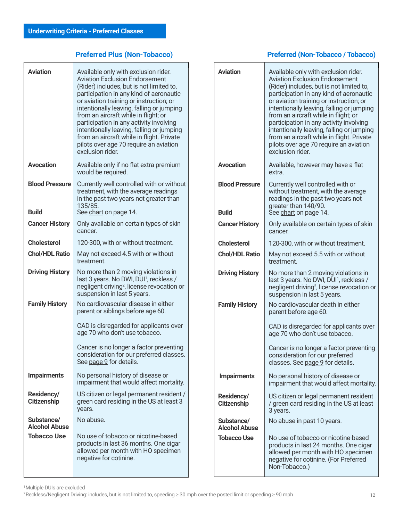## **Preferred Plus (Non-Tobacco)**

<span id="page-11-0"></span>

| <b>Aviation</b>                         | Available only with exclusion rider.                                                                                                                                                                                                                                                                                                                 | <b>Aviation</b>                       | Available only with exclusion rider.                                                                                                                                                                                                                                                                                                                 |
|-----------------------------------------|------------------------------------------------------------------------------------------------------------------------------------------------------------------------------------------------------------------------------------------------------------------------------------------------------------------------------------------------------|---------------------------------------|------------------------------------------------------------------------------------------------------------------------------------------------------------------------------------------------------------------------------------------------------------------------------------------------------------------------------------------------------|
|                                         | <b>Aviation Exclusion Endorsement</b><br>(Rider) includes, but is not limited to,<br>participation in any kind of aeronautic<br>or aviation training or instruction; or<br>intentionally leaving, falling or jumping<br>from an aircraft while in flight; or<br>participation in any activity involving<br>intentionally leaving, falling or jumping |                                       | <b>Aviation Exclusion Endorsement</b><br>(Rider) includes, but is not limited to,<br>participation in any kind of aeronautic<br>or aviation training or instruction; or<br>intentionally leaving, falling or jumping<br>from an aircraft while in flight; or<br>participation in any activity involving<br>intentionally leaving, falling or jumping |
|                                         | from an aircraft while in flight. Private<br>pilots over age 70 require an aviation<br>exclusion rider.                                                                                                                                                                                                                                              |                                       | from an aircraft while in flight. Private<br>pilots over age 70 require an aviation<br>exclusion rider.                                                                                                                                                                                                                                              |
| <b>Avocation</b>                        | Available only if no flat extra premium<br>would be required.                                                                                                                                                                                                                                                                                        | <b>Avocation</b>                      | Available, however may have a flat<br>extra.                                                                                                                                                                                                                                                                                                         |
| <b>Blood Pressure</b><br><b>Build</b>   | Currently well controlled with or without<br>treatment, with the average readings<br>in the past two years not greater than<br>135/85.<br>See chart on page 14.                                                                                                                                                                                      | <b>Blood Pressure</b><br><b>Build</b> | Currently well controlled with or<br>without treatment, with the average<br>readings in the past two years not<br>greater than 140/90.<br>See chart on page 14.                                                                                                                                                                                      |
| <b>Cancer History</b>                   | Only available on certain types of skin<br>cancer.                                                                                                                                                                                                                                                                                                   | <b>Cancer History</b>                 | Only available on certain types of skin<br>cancer.                                                                                                                                                                                                                                                                                                   |
| <b>Cholesterol</b>                      | 120-300, with or without treatment.                                                                                                                                                                                                                                                                                                                  | <b>Cholesterol</b>                    | 120-300, with or without treatment.                                                                                                                                                                                                                                                                                                                  |
| <b>Chol/HDL Ratio</b>                   | May not exceed 4.5 with or without<br>treatment.                                                                                                                                                                                                                                                                                                     | <b>Chol/HDL Ratio</b>                 | May not exceed 5.5 with or without<br>treatment.                                                                                                                                                                                                                                                                                                     |
| <b>Driving History</b>                  | No more than 2 moving violations in<br>last 3 years. No DWI, DUI <sup>1</sup> , reckless /<br>negligent driving <sup>2</sup> , license revocation or<br>suspension in last 5 years.                                                                                                                                                                  | <b>Driving History</b>                | No more than 2 moving violations in<br>last 3 years. No DWI, DUI <sup>1</sup> , reckless /<br>negligent driving <sup>2</sup> , license revocation or<br>suspension in last 5 years.                                                                                                                                                                  |
| <b>Family History</b>                   | No cardiovascular disease in either<br>parent or siblings before age 60.                                                                                                                                                                                                                                                                             | <b>Family History</b>                 | No cardiovascular death in either<br>parent before age 60.                                                                                                                                                                                                                                                                                           |
|                                         | CAD is disregarded for applicants over<br>age 70 who don't use tobacco.                                                                                                                                                                                                                                                                              |                                       | CAD is disregarded for applicants over<br>age 70 who don't use tobacco.                                                                                                                                                                                                                                                                              |
|                                         | Cancer is no longer a factor preventing<br>consideration for our preferred classes.<br>See page 9 for details.                                                                                                                                                                                                                                       |                                       | Cancer is no longer a factor preventing<br>consideration for our preferred<br>classes. See page 9 for details.                                                                                                                                                                                                                                       |
| <b>Impairments</b>                      | No personal history of disease or<br>impairment that would affect mortality.                                                                                                                                                                                                                                                                         | <b>Impairments</b>                    | No personal history of disease or<br>impairment that would affect mortality                                                                                                                                                                                                                                                                          |
| <b>Residency/</b><br><b>Citizenship</b> | US citizen or legal permanent resident /<br>green card residing in the US at least 3<br>years.                                                                                                                                                                                                                                                       | Residency/<br><b>Citizenship</b>      | US citizen or legal permanent resident<br>/ green card residing in the US at least<br>3 years.                                                                                                                                                                                                                                                       |
| Substance/<br><b>Alcohol Abuse</b>      | No abuse.                                                                                                                                                                                                                                                                                                                                            | Substance/<br><b>Alcohol Abuse</b>    | No abuse in past 10 years.                                                                                                                                                                                                                                                                                                                           |
| <b>Tobacco Use</b>                      | No use of tobacco or nicotine-based<br>products in last 36 months. One cigar<br>allowed per month with HO specimen<br>negative for cotinine.                                                                                                                                                                                                         | <b>Tobacco Use</b>                    | No use of tobacco or nicotine-based<br>products in last 24 months. One cigar<br>allowed per month with HO specimen<br>negative for cotinine. (For Preferred<br>Non-Tobacco.)                                                                                                                                                                         |

## **Preferred (Non-Tobacco / Tobacco)**

|                                       | from an aircraft while in flight. Private<br>pilots over age 70 require an aviation<br>exclusion rider.                                                                             |
|---------------------------------------|-------------------------------------------------------------------------------------------------------------------------------------------------------------------------------------|
| <b>Avocation</b>                      | Available, however may have a flat<br>extra.                                                                                                                                        |
| <b>Blood Pressure</b><br><b>Build</b> | Currently well controlled with or<br>without treatment, with the average<br>readings in the past two years not<br>greater than 140/90.<br>Šee chart on page 14.                     |
| <b>Cancer History</b>                 | Only available on certain types of skin<br>cancer.                                                                                                                                  |
| <b>Cholesterol</b>                    | 120-300, with or without treatment.                                                                                                                                                 |
| <b>Chol/HDL Ratio</b>                 | May not exceed 5.5 with or without<br>treatment.                                                                                                                                    |
| <b>Driving History</b>                | No more than 2 moving violations in<br>last 3 years. No DWI, DUI <sup>1</sup> , reckless /<br>negligent driving <sup>2</sup> , license revocation or<br>suspension in last 5 years. |
| <b>Family History</b>                 | No cardiovascular death in either<br>parent before age 60.                                                                                                                          |
|                                       | CAD is disregarded for applicants over<br>age 70 who don't use tobacco.                                                                                                             |
|                                       | Cancer is no longer a factor preventing<br>consideration for our preferred<br>classes. See page 9 for details.                                                                      |
| <b>Impairments</b>                    | No personal history of disease or<br>impairment that would affect mortality.                                                                                                        |
| Residency/<br><b>Citizenship</b>      | US citizen or legal permanent resident<br>/ green card residing in the US at least<br>3 years.                                                                                      |
| Substance/<br><b>Alcohol Abuse</b>    | No abuse in past 10 years.                                                                                                                                                          |
| <b>Tobacco Use</b>                    | No use of tobacco or nicotine-based<br>products in last 24 months. One cigar<br>allowed per month with HO specimen<br>negative for cotinine. (For Preferred<br>Non-Tobacco.)        |

<sup>2</sup>Reckless/Negligent Driving: includes, but is not limited to, speeding ≥ 30 mph over the posted limit or speeding ≥ 90 mph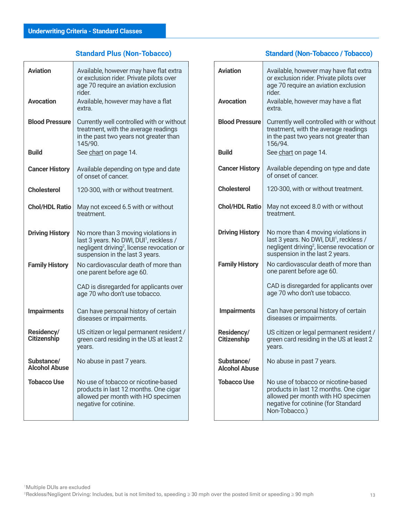## **Standard Plus (Non-Tobacco)**

<span id="page-12-0"></span>

| <b>Aviation</b>                    | Available, however may have flat extra<br>or exclusion rider. Private pilots over<br>age 70 require an aviation exclusion<br>rider.                                                     |  |
|------------------------------------|-----------------------------------------------------------------------------------------------------------------------------------------------------------------------------------------|--|
| <b>Avocation</b>                   | Available, however may have a flat<br>extra.                                                                                                                                            |  |
| <b>Blood Pressure</b>              | Currently well controlled with or without<br>treatment, with the average readings<br>in the past two years not greater than<br>145/90.                                                  |  |
| <b>Build</b>                       | See chart on page 14.                                                                                                                                                                   |  |
| <b>Cancer History</b>              | Available depending on type and date<br>of onset of cancer.                                                                                                                             |  |
| <b>Cholesterol</b>                 | 120-300, with or without treatment.                                                                                                                                                     |  |
| <b>Chol/HDL Ratio</b>              | May not exceed 6.5 with or without<br>treatment.                                                                                                                                        |  |
| <b>Driving History</b>             | No more than 3 moving violations in<br>last 3 years. No DWI, DUI <sup>1</sup> , reckless /<br>negligent driving <sup>2</sup> , license revocation or<br>suspension in the last 3 years. |  |
| <b>Family History</b>              | No cardiovascular death of more than<br>one parent before age 60.                                                                                                                       |  |
|                                    | CAD is disregarded for applicants over<br>age 70 who don't use tobacco.                                                                                                                 |  |
| <b>Impairments</b>                 | Can have personal history of certain<br>diseases or impairments.                                                                                                                        |  |
| Residency/<br>Citizenship          | US citizen or legal permanent resident /<br>green card residing in the US at least 2<br>years.                                                                                          |  |
| Substance/<br><b>Alcohol Abuse</b> | No abuse in past 7 years.                                                                                                                                                               |  |
| <b>Tobacco Use</b>                 | No use of tobacco or nicotine-based<br>products in last 12 months. One cigar<br>allowed per month with HO specimen<br>negative for cotinine.                                            |  |

## **Standard (Non-Tobacco / Tobacco)**

| <b>Aviation</b>                    | Available, however may have flat extra<br>or exclusion rider. Private pilots over<br>age 70 require an aviation exclusion<br>rider.                                                     |
|------------------------------------|-----------------------------------------------------------------------------------------------------------------------------------------------------------------------------------------|
| <b>Avocation</b>                   | Available, however may have a flat<br>extra.                                                                                                                                            |
| <b>Blood Pressure</b>              | Currently well controlled with or without<br>treatment, with the average readings<br>in the past two years not greater than<br>156/94                                                   |
| <b>Build</b>                       | See chart on page 14.                                                                                                                                                                   |
| <b>Cancer History</b>              | Available depending on type and date<br>of onset of cancer.                                                                                                                             |
| <b>Cholesterol</b>                 | 120-300, with or without treatment.                                                                                                                                                     |
| <b>Chol/HDL Ratio</b>              | May not exceed 8.0 with or without<br>treatment                                                                                                                                         |
| <b>Driving History</b>             | No more than 4 moving violations in<br>last 3 years. No DWI, DUI <sup>1</sup> , reckless /<br>negligent driving <sup>2</sup> , license revocation or<br>suspension in the last 2 years. |
| <b>Family History</b>              | No cardiovascular death of more than<br>one parent before age 60.                                                                                                                       |
|                                    | CAD is disregarded for applicants over<br>age 70 who don't use tobacco.                                                                                                                 |
| <b>Impairments</b>                 | Can have personal history of certain<br>diseases or impairments.                                                                                                                        |
| Residency/<br><b>Citizenship</b>   | US citizen or legal permanent resident /<br>green card residing in the US at least 2<br>years.                                                                                          |
| Substance/<br><b>Alcohol Abuse</b> | No abuse in past 7 years.                                                                                                                                                               |
| <b>Tobacco Use</b>                 | No use of tobacco or nicotine-based<br>products in last 12 months. One cigar<br>allowed per month with HO specimen<br>negative for cotinine (for Standard<br>Non-Tobacco.)              |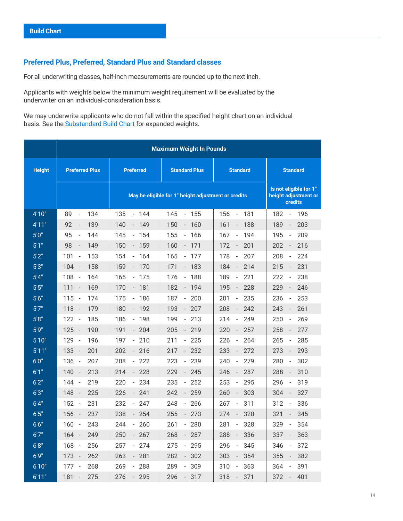## <span id="page-13-0"></span>**Preferred Plus, Preferred, Standard Plus and Standard classes**

For all underwriting classes, half-inch measurements are rounded up to the next inch.

Applicants with weights below the minimum weight requirement will be evaluated by the underwriter on an individual-consideration basis.

We may underwrite applicants who do not fall within the specified height chart on an individual basis. See the **Substandard Build Chart** for expanded weights.

|               | <b>Maximum Weight In Pounds</b>        |                                                     |                                        |                                                                  |                                        |
|---------------|----------------------------------------|-----------------------------------------------------|----------------------------------------|------------------------------------------------------------------|----------------------------------------|
| <b>Height</b> | <b>Preferred Plus</b>                  | <b>Preferred</b>                                    | <b>Standard Plus</b>                   | <b>Standard</b>                                                  | <b>Standard</b>                        |
|               |                                        | May be eligible for 1" height adjustment or credits |                                        | Is not eligible for 1"<br>height adjustment or<br><b>credits</b> |                                        |
| 4'10"         | 134<br>89<br>$\blacksquare$            | 135<br>$-144$                                       | 145<br>$-155$                          | 156<br>181<br>$\overline{\phantom{a}}$                           | 182<br>196<br>$\blacksquare$           |
| 4'11"         | 92<br>139<br>÷                         | 140<br>149<br>$\overline{\phantom{a}}$              | 150<br>160<br>$\overline{\phantom{a}}$ | 161<br>188<br>$\qquad \qquad -$                                  | 189<br>203<br>$\overline{\phantom{a}}$ |
| 5'0''         | 95<br>144<br>$\overline{\phantom{a}}$  | 145<br>154<br>$\sim$                                | 155<br>166<br>$\overline{\phantom{a}}$ | 194<br>167<br>$\blacksquare$                                     | 195<br>209<br>$\Box$                   |
| 5'1''         | 98<br>149<br>$\overline{a}$            | 150<br>$-159$                                       | $-171$<br>160                          | 172<br>201<br>$\overline{\phantom{a}}$                           | 216<br>202<br>$\overline{\phantom{a}}$ |
| 5'2"          | 101<br>153<br>$\overline{\phantom{a}}$ | 154<br>$-164$                                       | 165<br>177<br>$\overline{\phantom{a}}$ | 207<br>178<br>$\overline{\phantom{a}}$                           | 224<br>208<br>$\overline{\phantom{a}}$ |
| 5'3''         | 104<br>158<br>$\overline{\phantom{a}}$ | 159<br>$-170$                                       | 171<br>$-183$                          | 184<br>214<br>$\blacksquare$                                     | 215<br>231<br>$\overline{\phantom{a}}$ |
| 5'4''         | 108<br>164<br>$\overline{\phantom{a}}$ | 165<br>175<br>$\Box$                                | 188<br>176<br>$\Box$                   | 189<br>221<br>$\blacksquare$                                     | 222<br>238<br>$\overline{\phantom{a}}$ |
| 5'5"          | 111<br>169<br>$\overline{\phantom{a}}$ | 170<br>$-181$                                       | $-194$<br>182                          | 195<br>228<br>$\blacksquare$                                     | 246<br>229<br>$\overline{\phantom{a}}$ |
| 5'6''         | 115<br>$\overline{\phantom{a}}$<br>174 | 175<br>186<br>$\blacksquare$                        | 187<br>200<br>$\overline{\phantom{a}}$ | 201<br>235<br>$\blacksquare$                                     | 253<br>236<br>$\overline{\phantom{a}}$ |
| 5'7''         | 118<br>179<br>$\overline{\phantom{a}}$ | 180<br>$-192$                                       | $-207$<br>193                          | 208<br>242<br>$\blacksquare$                                     | 243<br>261<br>$\overline{\phantom{a}}$ |
| 5'8''         | 122<br>185<br>$\overline{\phantom{a}}$ | 186<br>198<br>$\overline{\phantom{a}}$              | 199<br>213<br>$\overline{\phantom{a}}$ | 214<br>249<br>$\overline{\phantom{0}}$                           | 250<br>269<br>$\overline{\phantom{a}}$ |
| 5'9''         | 125<br>190<br>$\overline{\phantom{a}}$ | 191<br>204<br>$\overline{\phantom{a}}$              | 219<br>205<br>$\overline{\phantom{a}}$ | 257<br>220<br>$\overline{\phantom{a}}$                           | 258<br>277<br>$\overline{\phantom{a}}$ |
| 5'10''        | 129<br>196<br>$\overline{\phantom{a}}$ | 210<br>197<br>$\equiv$                              | 225<br>211<br>$\sim$                   | 226<br>264<br>$\blacksquare$                                     | 285<br>265<br>$\overline{\phantom{a}}$ |
| 5'11"         | 133<br>$\overline{\phantom{a}}$<br>201 | $-216$<br>202                                       | $-232$<br>217                          | 272<br>233<br>$\overline{\phantom{m}}$                           | 273<br>293<br>$\overline{\phantom{a}}$ |
| 6'0''         | 136<br>207<br>$\overline{\phantom{a}}$ | 208<br>222<br>$\sim$                                | 223<br>239<br>$\overline{\phantom{a}}$ | 240<br>279<br>$\blacksquare$                                     | 280<br>302<br>$\overline{\phantom{a}}$ |
| 6'1"          | 140<br>213<br>$\overline{\phantom{a}}$ | 214<br>$-228$                                       | 229<br>$-245$                          | 246<br>287<br>$\overline{\phantom{a}}$                           | 288<br>310<br>$\overline{\phantom{a}}$ |
| 6'2"          | 144<br>219<br>$\overline{\phantom{a}}$ | 234<br>220<br>$\overline{\phantom{a}}$              | 252<br>235<br>$\blacksquare$           | 295<br>253<br>$\blacksquare$                                     | 296<br>319<br>$\overline{\phantom{a}}$ |
| 6'3''         | 148<br>225<br>$\overline{\phantom{a}}$ | 226<br>$-241$                                       | 259<br>242<br>$\blacksquare$           | 303<br>260<br>$\qquad \qquad -$                                  | 327<br>304<br>$\overline{\phantom{a}}$ |
| 6'4''         | 152<br>231<br>$\overline{\phantom{a}}$ | 232<br>247<br>$\Box$                                | 248<br>266<br>$\Box$                   | 311<br>267<br>$\overline{\phantom{a}}$                           | 312<br>336<br>$\Box$                   |
| 6'5"          | 156<br>237<br>$\overline{\phantom{a}}$ | $-254$<br>238                                       | $-273$<br>255                          | 320<br>274<br>$\blacksquare$                                     | 345<br>321<br>$\blacksquare$           |
| 6'6''         | 160<br>243<br>$\overline{\phantom{a}}$ | 260<br>244<br>$\overline{\phantom{a}}$              | 261<br>280<br>$\overline{\phantom{a}}$ | 328<br>281<br>$\frac{1}{2}$                                      | 329<br>354<br>$\blacksquare$           |
| 6'7''         | 164<br>249<br>$\overline{\phantom{a}}$ | 250<br>267<br>$\overline{\phantom{a}}$              | 268<br>287<br>$\overline{\phantom{a}}$ | 288<br>336<br>$\qquad \qquad -$                                  | 337<br>363<br>$\overline{\phantom{a}}$ |
| 6'8''         | 168<br>256<br>$\overline{\phantom{a}}$ | 257<br>274<br>$\overline{\phantom{a}}$              | $-295$<br>275                          | 296<br>345<br>$\blacksquare$                                     | 346<br>372<br>$\overline{\phantom{a}}$ |
| 6'9''         | 262<br>173<br>$\overline{\phantom{a}}$ | $-281$<br>263                                       | $-302$<br>282                          | 354<br>303<br>$\overline{\phantom{a}}$                           | 355<br>382<br>$\overline{\phantom{a}}$ |
| 6'10"         | 177<br>268<br>$\overline{\phantom{a}}$ | 269<br>288<br>$\blacksquare$                        | 289<br>309<br>$\blacksquare$           | 310<br>363<br>$\blacksquare$                                     | 364<br>391<br>$\overline{\phantom{a}}$ |
| 6'11"         | 181<br>275<br>$\overline{\phantom{m}}$ | 276<br>295<br>$\overline{\phantom{a}}$              | 296<br>$-317$                          | 318<br>371<br>$\overline{\phantom{a}}$                           | 372<br>401<br>$\blacksquare$           |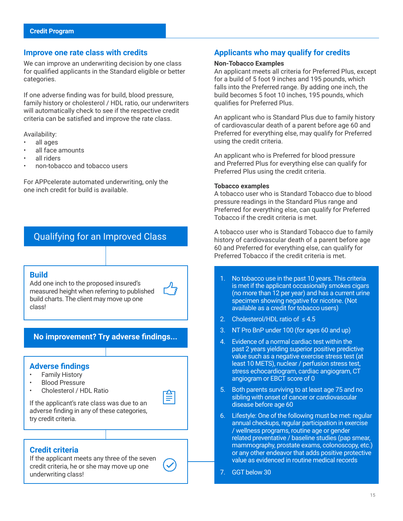#### <span id="page-14-0"></span>**Improve one rate class with credits**

We can improve an underwriting decision by one class for qualified applicants in the Standard eligible or better categories.

If one adverse finding was for build, blood pressure, family history or cholesterol / HDL ratio, our underwriters will automatically check to see if the respective credit criteria can be satisfied and improve the rate class.

Availability:

- all ages
- all face amounts
- all riders
- non-tobacco and tobacco users

For APPcelerate automated underwriting, only the one inch credit for build is available.

## Qualifying for an Improved Class

#### **Build**

Add one inch to the proposed insured's measured height when referring to published build charts. The client may move up one class!



## **No improvement? Try adverse findings...**

#### **Adverse findings**

- Family History
- Blood Pressure
- Cholesterol / HDL Ratio



 $\bigodot$ 

If the applicant's rate class was due to an adverse finding in any of these categories, try credit criteria.

#### **Credit criteria**

If the applicant meets any three of the seven credit criteria, he or she may move up one underwriting class!

#### **Applicants who may qualify for credits**

#### **Non-Tobacco Examples**

An applicant meets all criteria for Preferred Plus, except for a build of 5 foot 9 inches and 195 pounds, which falls into the Preferred range. By adding one inch, the build becomes 5 foot 10 inches, 195 pounds, which qualifies for Preferred Plus.

An applicant who is Standard Plus due to family history of cardiovascular death of a parent before age 60 and Preferred for everything else, may qualify for Preferred using the credit criteria.

An applicant who is Preferred for blood pressure and Preferred Plus for everything else can qualify for Preferred Plus using the credit criteria.

#### **Tobacco examples**

A tobacco user who is Standard Tobacco due to blood pressure readings in the Standard Plus range and Preferred for everything else, can qualify for Preferred Tobacco if the credit criteria is met.

A tobacco user who is Standard Tobacco due to family history of cardiovascular death of a parent before age 60 and Preferred for everything else, can qualify for Preferred Tobacco if the credit criteria is met.

- 1. No tobacco use in the past 10 years. This criteria is met if the applicant occasionally smokes cigars (no more than 12 per year) and has a current urine specimen showing negative for nicotine. (Not available as a credit for tobacco users)
- 2. Cholesterol/HDL ratio of ≤4.5
- 3. NT Pro BnP under 100 (for ages 60 and up)
- 4. Evidence of a normal cardiac test within the past 2 years yielding superior positive predictive value such as a negative exercise stress test (at least 10 METS), nuclear / perfusion stress test, stress echocardiogram, cardiac angiogram, CT angiogram or EBCT score of 0
- 5. Both parents surviving to at least age 75 and no sibling with onset of cancer or cardiovascular disease before age 60
- 6. Lifestyle: One of the following must be met: regular annual checkups, regular participation in exercise / wellness programs, routine age or gender related preventative / baseline studies (pap smear, mammography, prostate exams, colonoscopy, etc.) or any other endeavor that adds positive protective value as evidenced in routine medical records
- 7. GGT below 30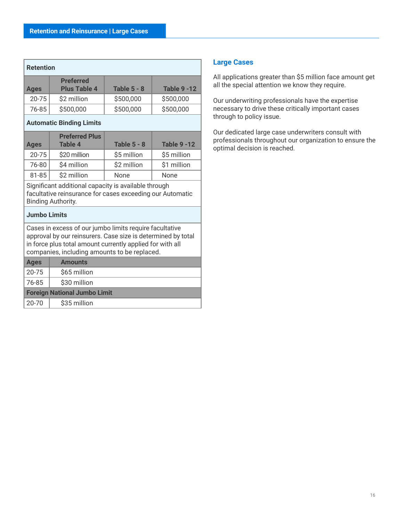<span id="page-15-0"></span>

| <b>Retention</b> |                                         |                    |                    |
|------------------|-----------------------------------------|--------------------|--------------------|
| <b>Ages</b>      | <b>Preferred</b><br><b>Plus Table 4</b> | <b>Table 5 - 8</b> | <b>Table 9 -12</b> |
| $20 - 75$        | \$2 million                             | \$500,000          | \$500,000          |
| 76-85            | \$500,000                               | \$500,000          | \$500,000          |
|                  |                                         |                    |                    |

**Automatic Binding Limits**

| <b>Ages</b> | <b>Preferred Plus</b><br><b>Table 4</b> | <b>Table 5 - 8</b> | <b>Table 9 -12</b> |
|-------------|-----------------------------------------|--------------------|--------------------|
| $20 - 75$   | \$20 million                            | \$5 million        | \$5 million        |
| 76-80       | \$4 million                             | \$2 million        | \$1 million        |
| 81-85       | \$2 million                             | None               | None               |

Significant additional capacity is available through facultative reinsurance for cases exceeding our Automatic Binding Authority.

#### **Jumbo Limits**

Cases in excess of our jumbo limits require facultative approval by our reinsurers. Case size is determined by total in force plus total amount currently applied for with all companies, including amounts to be replaced.

| <b>Ages</b>                         | <b>Amounts</b> |  |  |
|-------------------------------------|----------------|--|--|
| 20-75                               | \$65 million   |  |  |
| 76-85                               | \$30 million   |  |  |
| <b>Foreign National Jumbo Limit</b> |                |  |  |
| $20 - 70$                           | \$35 million   |  |  |

#### **Large Cases**

All applications greater than \$5 million face amount get all the special attention we know they require.

Our underwriting professionals have the expertise necessary to drive these critically important cases through to policy issue.

Our dedicated large case underwriters consult with professionals throughout our organization to ensure the optimal decision is reached.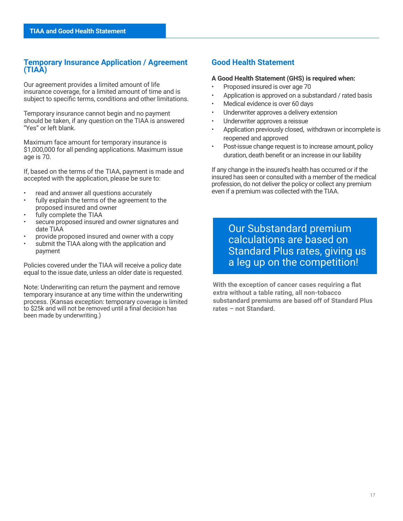## <span id="page-16-0"></span>**Temporary Insurance Application / Agreement (TIAA)**

Our agreement provides a limited amount of life insurance coverage, for a limited amount of time and is subject to specific terms, conditions and other limitations.

Temporary insurance cannot begin and no payment should be taken, if any question on the TIAA is answered "Yes" or left blank.

Maximum face amount for temporary insurance is \$1,000,000 for all pending applications. Maximum issue age is 70.

If, based on the terms of the TIAA, payment is made and accepted with the application, please be sure to:

- read and answer all questions accurately
- fully explain the terms of the agreement to the proposed insured and owner
- fully complete the TIAA
- secure proposed insured and owner signatures and date TIAA
- provide proposed insured and owner with a copy
- submit the TIAA along with the application and payment

Policies covered under the TIAA will receive a policy date equal to the issue date, unless an older date is requested.

Note: Underwriting can return the payment and remove temporary insurance at any time within the underwriting process. (Kansas exception: temporary coverage is limited to \$25k and will not be removed until a final decision has been made by underwriting.)

## **Good Health Statement**

#### **A Good Health Statement (GHS) is required when:**

- Proposed insured is over age 70
- Application is approved on a substandard / rated basis
- Medical evidence is over 60 days
- Underwriter approves a delivery extension
- Underwriter approves a reissue
- Application previously closed, withdrawn or incomplete is reopened and approved
- Post-issue change request is to increase amount, policy duration, death benefit or an increase in our liability

If any change in the insured's health has occurred or if the insured has seen or consulted with a member of the medical profession, do not deliver the policy or collect any premium even if a premium was collected with the TIAA.

Our Substandard premium calculations are based on Standard Plus rates, giving us a leg up on the competition!

**With the exception of cancer cases requiring a flat extra without a table rating, all non-tobacco substandard premiums are based off of Standard Plus rates – not Standard.**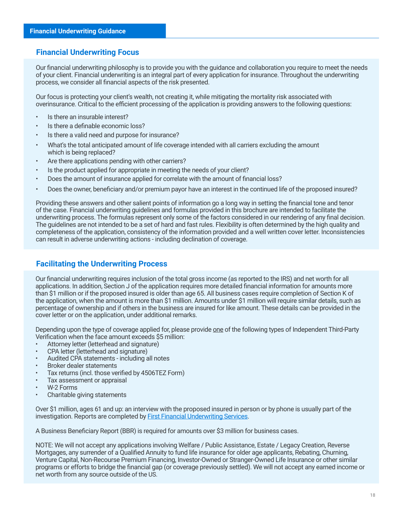## <span id="page-17-0"></span>**Financial Underwriting Focus**

Our financial underwriting philosophy is to provide you with the guidance and collaboration you require to meet the needs of your client. Financial underwriting is an integral part of every application for insurance. Throughout the underwriting process, we consider all financial aspects of the risk presented.

Our focus is protecting your client's wealth, not creating it, while mitigating the mortality risk associated with overinsurance. Critical to the efficient processing of the application is providing answers to the following questions:

- Is there an insurable interest?
- Is there a definable economic loss?
- Is there a valid need and purpose for insurance?
- What's the total anticipated amount of life coverage intended with all carriers excluding the amount which is being replaced?
- Are there applications pending with other carriers?
- Is the product applied for appropriate in meeting the needs of your client?
- Does the amount of insurance applied for correlate with the amount of financial loss?
- Does the owner, beneficiary and/or premium payor have an interest in the continued life of the proposed insured?

Providing these answers and other salient points of information go a long way in setting the financial tone and tenor of the case. Financial underwriting guidelines and formulas provided in this brochure are intended to facilitate the underwriting process. The formulas represent only some of the factors considered in our rendering of any final decision. The guidelines are not intended to be a set of hard and fast rules. Flexibility is often determined by the high quality and completeness of the application, consistency of the information provided and a well written cover letter. Inconsistencies can result in adverse underwriting actions - including declination of coverage.

## **Facilitating the Underwriting Process**

Our financial underwriting requires inclusion of the total gross income (as reported to the IRS) and net worth for all applications. In addition, Section J of the application requires more detailed financial information for amounts more than \$1 million or if the proposed insured is older than age 65. All business cases require completion of Section K of the application, when the amount is more than \$1 million. Amounts under \$1 million will require similar details, such as percentage of ownership and if others in the business are insured for like amount. These details can be provided in the cover letter or on the application, under additional remarks.

Depending upon the type of coverage applied for, please provide <u>one</u> of the following types of Independent Third-Party Verification when the face amount exceeds \$5 million:

- Attorney letter (letterhead and signature)
- CPA letter (letterhead and signature)
- Audited CPA statements including all notes
- Broker dealer statements
- Tax returns (incl. those verified by 4506TEZ Form)
- Tax assessment or appraisal
- W-2 Forms
- Charitable giving statements

Over \$1 million, ages 61 and up: an interview with the proposed insured in person or by phone is usually part of the investigation. Reports are completed by **First Financial Underwriting Services**.

A Business Beneficiary Report (BBR) is required for amounts over \$3 million for business cases.

NOTE: We will not accept any applications involving Welfare / Public Assistance, Estate / Legacy Creation, Reverse Mortgages, any surrender of a Qualified Annuity to fund life insurance for older age applicants, Rebating, Churning, Venture Capital, Non-Recourse Premium Financing, Investor-Owned or Stranger-Owned Life Insurance or other similar programs or efforts to bridge the financial gap (or coverage previously settled). We will not accept any earned income or net worth from any source outside of the US.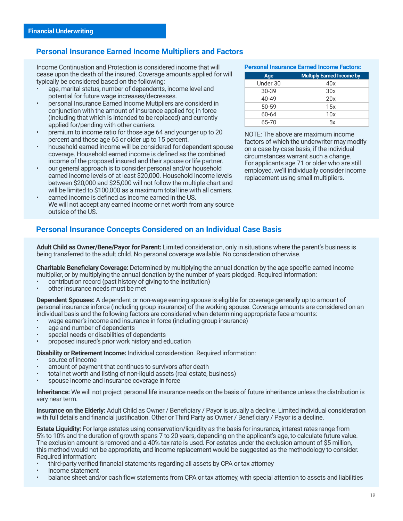## <span id="page-18-0"></span>**Personal Insurance Earned Income Multipliers and Factors**

Income Continuation and Protection is considered income that will cease upon the death of the insured. Coverage amounts applied for will typically be considered based on the following:

- age, marital status, number of dependents, income level and potential for future wage increases/decreases.
- personal Insurance Earned Income Mutipliers are considerd in conjunction with the amount of insurance applied for, in force (including that which is intended to be replaced) and currently applied for/pending with other carriers.
- premium to income ratio for those age 64 and younger up to 20 percent and those age 65 or older up to 15 percent.
- household earned income will be considered for dependent spouse coverage. Household earned income is defined as the combined income of the proposed insured and their spouse or life partner.
- our general approach is to consider personal and/or household earned income levels of at least \$20,000. Household income levels between \$20,000 and \$25,000 will not follow the multiple chart and will be limited to \$100,000 as a maximum total line with all carriers.
- earned income is defined as income earned in the US. We will not accept any earned income or net worth from any source outside of the US.

#### **Personal Insurance Earned Income Factors:**

| Age       | <b>Multiply Earned Income by</b> |
|-----------|----------------------------------|
| Under 30  | 40x                              |
| 30-39     | 30x                              |
| $40 - 49$ | 20x                              |
| 50-59     | 15x                              |
| 60-64     | 10x                              |
| 65-70     | 5x                               |

NOTE: The above are maximum income factors of which the underwriter may modify on a case-by-case basis, if the individual circumstances warrant such a change. For applicants age 71 or older who are still employed, we'll individually consider income replacement using small multipliers.

## **Personal Insurance Concepts Considered on an Individual Case Basis**

**Adult Child as Owner/Bene/Payor for Parent:** Limited consideration, only in situations where the parent's business is being transferred to the adult child. No personal coverage available. No consideration otherwise.

**Charitable Beneficiary Coverage:** Determined by multiplying the annual donation by the age specific earned income multiplier, or by multiplying the annual donation by the number of years pledged. Required information:

- contribution record (past history of giving to the institution)
- other insurance needs must be met

**Dependent Spouses:** A dependent or non-wage earning spouse is eligible for coverage generally up to amount of personal insurance inforce (including group insurance) of the working spouse. Coverage amounts are considered on an individual basis and the following factors are considered when determining appropriate face amounts:

- wage earner's income and insurance in force (including group insurance)
- age and number of dependents
- special needs or disabilities of dependents
- proposed insured's prior work history and education

**Disability or Retirement Income:** Individual consideration. Required information:

- source of income
- amount of payment that continues to survivors after death
- total net worth and listing of non-liquid assets (real estate, business)
- spouse income and insurance coverage in force

**Inheritance:** We will not project personal life insurance needs on the basis of future inheritance unless the distribution is very near term.

**Insurance on the Elderly:** Adult Child as Owner / Beneficiary / Payor is usually a decline. Limited individual consideration with full details and financial justification. Other or Third Party as Owner / Beneficiary / Payor is a decline.

**Estate Liquidity:** For large estates using conservation/liquidity as the basis for insurance, interest rates range from 5% to 10% and the duration of growth spans 7 to 20 years, depending on the applicant's age, to calculate future value. The exclusion amount is removed and a 40% tax rate is used. For estates under the exclusion amount of \$5 million, this method would not be appropriate, and income replacement would be suggested as the methodology to consider. Required information:

- third-party verified financial statements regarding all assets by CPA or tax attorney
- income statement
- balance sheet and/or cash flow statements from CPA or tax attorney, with special attention to assets and liabilities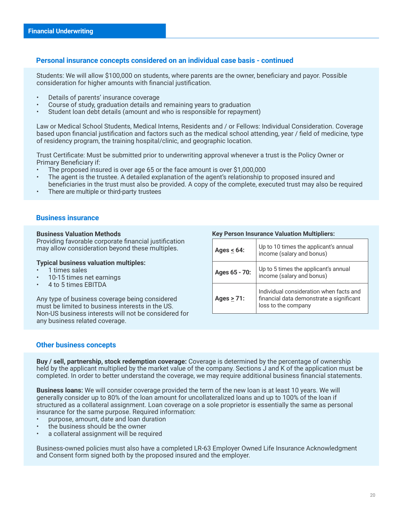#### <span id="page-19-0"></span>**Personal insurance concepts considered on an individual case basis - continued**

Students: We will allow \$100,000 on students, where parents are the owner, beneficiary and payor. Possible consideration for higher amounts with financial justification.

- Details of parents' insurance coverage
- Course of study, graduation details and remaining years to graduation
- Student loan debt details (amount and who is responsible for repayment)

Law or Medical School Students, Medical Interns, Residents and / or Fellows: Individual Consideration. Coverage based upon financial justification and factors such as the medical school attending, year / field of medicine, type of residency program, the training hospital/clinic, and geographic location.

Trust Certificate: Must be submitted prior to underwriting approval whenever a trust is the Policy Owner or Primary Beneficiary if:

- The proposed insured is over age 65 or the face amount is over \$1,000,000
- The agent is the trustee. A detailed explanation of the agent's relationship to proposed insured and beneficiaries in the trust must also be provided. A copy of the complete, executed trust may also be required
- There are multiple or third-party trustees

#### **Business insurance**

#### **Business Valuation Methods**

Providing favorable corporate financial justification may allow consideration beyond these multiples.

#### **Typical business valuation multiples:**

- 1 times sales
- 10-15 times net earnings
- 4 to 5 times EBITDA

Any type of business coverage being considered must be limited to business interests in the US. Non-US business interests will not be considered for any business related coverage.

#### **Key Person Insurance Valuation Multipliers:**

| Ages $\leq 64$ : | Up to 10 times the applicant's annual<br>income (salary and bonus)                                         |
|------------------|------------------------------------------------------------------------------------------------------------|
| Ages 65 - 70:    | Up to 5 times the applicant's annual<br>income (salary and bonus)                                          |
| Ages $> 71$ :    | Individual consideration when facts and<br>financial data demonstrate a significant<br>loss to the company |

#### **Other business concepts**

**Buy / sell, partnership, stock redemption coverage:** Coverage is determined by the percentage of ownership held by the applicant multiplied by the market value of the company. Sections J and K of the application must be completed. In order to better understand the coverage, we may require additional business financial statements.

**Business loans:** We will consider coverage provided the term of the new loan is at least 10 years. We will generally consider up to 80% of the loan amount for uncollateralized loans and up to 100% of the loan if structured as a collateral assignment. Loan coverage on a sole proprietor is essentially the same as personal insurance for the same purpose. Required information:

- purpose, amount, date and loan duration
- the business should be the owner
- a collateral assignment will be required

Business-owned policies must also have a completed LR-63 Employer Owned Life Insurance Acknowledgment and Consent form signed both by the proposed insured and the employer.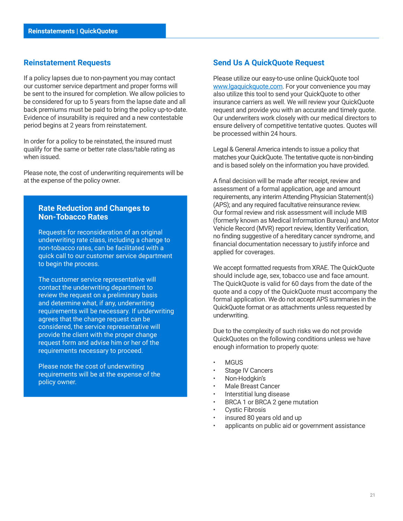#### <span id="page-20-0"></span>**Reinstatement Requests**

If a policy lapses due to non-payment you may contact our customer service department and proper forms will be sent to the insured for completion. We allow policies to be considered for up to 5 years from the lapse date and all back premiums must be paid to bring the policy up-to-date. Evidence of insurability is required and a new contestable period begins at 2 years from reinstatement.

In order for a policy to be reinstated, the insured must qualify for the same or better rate class/table rating as when issued.

Please note, the cost of underwriting requirements will be at the expense of the policy owner.

#### **Rate Reduction and Changes to Non-Tobacco Rates**

Requests for reconsideration of an original underwriting rate class, including a change to non-tobacco rates, can be facilitated with a quick call to our customer service department to begin the process.

The customer service representative will contact the underwriting department to review the request on a preliminary basis and determine what, if any, underwriting requirements will be necessary. If underwriting agrees that the change request can be considered, the service representative will provide the client with the proper change request form and advise him or her of the requirements necessary to proceed.

Please note the cost of underwriting requirements will be at the expense of the policy owner.

#### **Send Us A QuickQuote Request**

Please utilize our easy-to-use online QuickQuote tool [www.lgaquickquote.com](http://www.LGAquickquote.com). For your convenience you may also utilize this tool to send your QuickQuote to other insurance carriers as well. We will review your QuickQuote request and provide you with an accurate and timely quote. Our underwriters work closely with our medical directors to ensure delivery of competitive tentative quotes. Quotes will be processed within 24 hours.

Legal & General America intends to issue a policy that matches your QuickQuote. The tentative quote is non-binding and is based solely on the information you have provided.

A final decision will be made after receipt, review and assessment of a formal application, age and amount requirements, any interim Attending Physician Statement(s) (APS); and any required facultative reinsurance review. Our formal review and risk assessment will include MIB (formerly known as Medical Information Bureau) and Motor Vehicle Record (MVR) report review, Identity Verification, no finding suggestive of a hereditary cancer syndrome, and financial documentation necessary to justify inforce and applied for coverages.

We accept formatted requests from XRAE. The QuickQuote should include age, sex, tobacco use and face amount. The QuickQuote is valid for 60 days from the date of the quote and a copy of the QuickQuote must accompany the formal application. We do not accept APS summaries in the QuickQuote format or as attachments unless requested by underwriting.

Due to the complexity of such risks we do not provide QuickQuotes on the following conditions unless we have enough information to properly quote:

- **MGUS**
- Stage IV Cancers
- Non-Hodgkin's
- Male Breast Cancer
- Interstitial lung disease
- BRCA 1 or BRCA 2 gene mutation
- Cystic Fibrosis
- insured 80 years old and up
- applicants on public aid or government assistance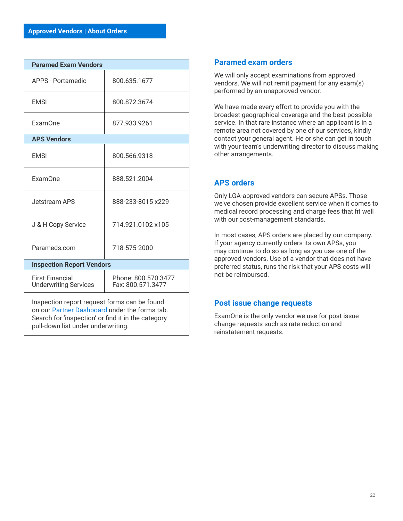<span id="page-21-0"></span>

| <b>Paramed Exam Vendors</b>                                                                   |                                          |  |  |  |
|-----------------------------------------------------------------------------------------------|------------------------------------------|--|--|--|
| <b>APPS - Portamedic</b>                                                                      | 800.635.1677                             |  |  |  |
| <b>EMSI</b>                                                                                   | 800.872.3674                             |  |  |  |
| ExamOne                                                                                       | 877.933.9261                             |  |  |  |
| <b>APS Vendors</b>                                                                            |                                          |  |  |  |
| <b>EMSI</b>                                                                                   | 800.566.9318                             |  |  |  |
| ExamOne                                                                                       | 888.521.2004                             |  |  |  |
| Jetstream APS                                                                                 | 888-233-8015 x229                        |  |  |  |
| J & H Copy Service                                                                            | 714.921.0102 x105                        |  |  |  |
| Parameds.com                                                                                  | 718-575-2000                             |  |  |  |
| <b>Inspection Report Vendors</b>                                                              |                                          |  |  |  |
| <b>First Financial</b><br><b>Underwriting Services</b>                                        | Phone: 800.570.3477<br>Fax: 800.571.3477 |  |  |  |
| Inspection report request forms can be found<br>on our Partner Dashboard under the forms tab. |                                          |  |  |  |

on our **Partner Dashboard** under the forms tab. Search for 'inspection' or find it in the category pull-down list under underwriting.

## **Paramed exam orders**

We will only accept examinations from approved vendors. We will not remit payment for any exam(s) performed by an unapproved vendor.

We have made every effort to provide you with the broadest geographical coverage and the best possible service. In that rare instance where an applicant is in a remote area not covered by one of our services, kindly contact your general agent. He or she can get in touch with your team's underwriting director to discuss making other arrangements.

## **APS orders**

Only LGA-approved vendors can secure APSs. Those we've chosen provide excellent service when it comes to medical record processing and charge fees that fit well with our cost-management standards.

In most cases, APS orders are placed by our company. If your agency currently orders its own APSs, you may continue to do so as long as you use one of the approved vendors. Use of a vendor that does not have preferred status, runs the risk that your APS costs will not be reimbursed.

## **Post issue change requests**

ExamOne is the only vendor we use for post issue change requests such as rate reduction and reinstatement requests.